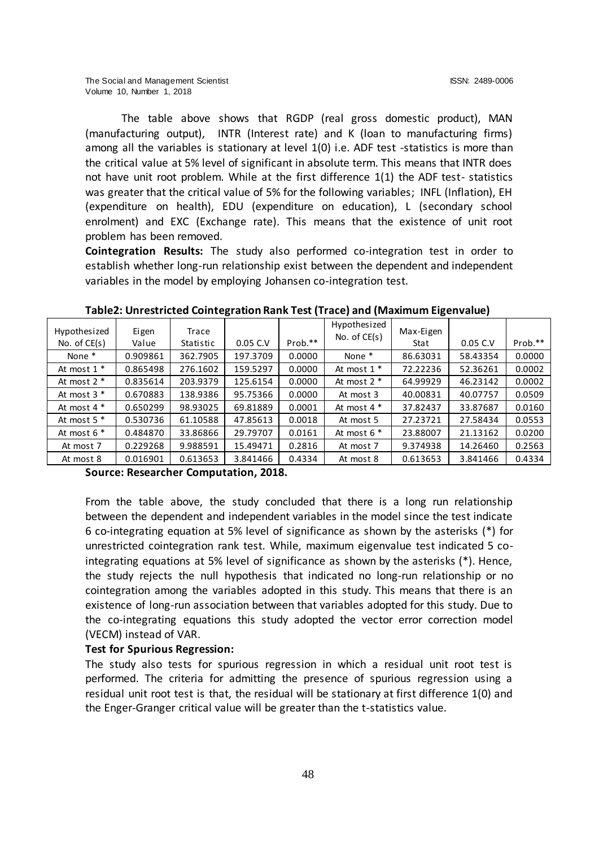The table above shows that RGDP (real gross domestic product), MAN (manufacturing output), INTR (Interest rate) and K (loan to manufacturing firms) among all the variables is stationary at level 1(0) i.e. ADF test -statistics is more than the critical value at 5% level of significant in absolute term. This means that INTR does not have unit root problem. While at the first difference 1(1) the ADF test- statistics was greater that the critical value of 5% for the following variables; INFL (Inflation), EH (expenditure on health), EDU (expenditure on education), L (secondary school enrolment) and EXC (Exchange rate). This means that the existence of unit root problem has been removed.

**Cointegration Results:** The study also performed co-integration test in order to establish whether long-run relationship exist between the dependent and independent variables in the model by employing Johansen co-integration test.

| Hypothesized    | Eigen    | Trace     |          |         | Hypothesized    | Max-Eigen |          |         |
|-----------------|----------|-----------|----------|---------|-----------------|-----------|----------|---------|
| No. of $CE(s)$  | Value    | Statistic | 0.05 C.V | Prob.** | No. of $CE(s)$  | Stat      | 0.05 C.V | Prob.** |
| None *          | 0.909861 | 362.7905  | 197.3709 | 0.0000  | None *          | 86.63031  | 58.43354 | 0.0000  |
| At most $1$ *   | 0.865498 | 276.1602  | 159.5297 | 0.0000  | At most $1$ *   | 72.22236  | 52.36261 | 0.0002  |
| At most $2$ $*$ | 0.835614 | 203.9379  | 125.6154 | 0.0000  | At most $2$ $*$ | 64.99929  | 46.23142 | 0.0002  |
| At most $3$ $*$ | 0.670883 | 138.9386  | 95.75366 | 0.0000  | At most 3       | 40.00831  | 40.07757 | 0.0509  |
| At most $4 *$   | 0.650299 | 98.93025  | 69.81889 | 0.0001  | At most $4 *$   | 37.82437  | 33.87687 | 0.0160  |
| At most $5$ $*$ | 0.530736 | 61.10588  | 47.85613 | 0.0018  | At most 5       | 27.23721  | 27.58434 | 0.0553  |
| At most $6*$    | 0.484870 | 33.86866  | 29.79707 | 0.0161  | At most $6*$    | 23.88007  | 21.13162 | 0.0200  |
| At most 7       | 0.229268 | 9.988591  | 15.49471 | 0.2816  | At most 7       | 9.374938  | 14.26460 | 0.2563  |
| At most 8       | 0.016901 | 0.613653  | 3.841466 | 0.4334  | At most 8       | 0.613653  | 3.841466 | 0.4334  |

**Table2: Unrestricted Cointegration Rank Test (Trace) and (Maximum Eigenvalue)**

**Source: Researcher Computation, 2018.**

From the table above, the study concluded that there is a long run relationship between the dependent and independent variables in the model since the test indicate 6 co-integrating equation at 5% level of significance as shown by the asterisks (\*) for unrestricted cointegration rank test. While, maximum eigenvalue test indicated 5 cointegrating equations at 5% level of significance as shown by the asterisks (\*). Hence, the study rejects the null hypothesis that indicated no long-run relationship or no cointegration among the variables adopted in this study. This means that there is an existence of long-run association between that variables adopted for this study. Due to the co-integrating equations this study adopted the vector error correction model (VECM) instead of VAR.

# **Test for Spurious Regression:**

The study also tests for spurious regression in which a residual unit root test is performed. The criteria for admitting the presence of spurious regression using a residual unit root test is that, the residual will be stationary at first difference 1(0) and the Enger-Granger critical value will be greater than the t-statistics value.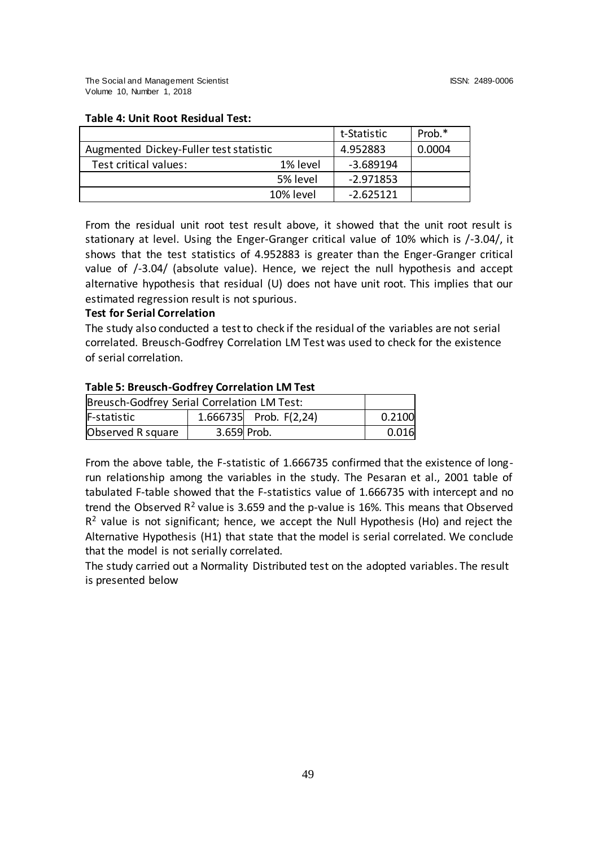|                                        |           | t-Statistic | Prob.* |
|----------------------------------------|-----------|-------------|--------|
| Augmented Dickey-Fuller test statistic |           | 4.952883    | 0.0004 |
| Test critical values:                  | 1% level  | -3.689194   |        |
|                                        | 5% level  | -2.971853   |        |
|                                        | 10% level | $-2.625121$ |        |

### **Table 4: Unit Root Residual Test:**

From the residual unit root test result above, it showed that the unit root result is stationary at level. Using the Enger-Granger critical value of 10% which is /-3.04/, it shows that the test statistics of 4.952883 is greater than the Enger-Granger critical value of /-3.04/ (absolute value). Hence, we reject the null hypothesis and accept alternative hypothesis that residual (U) does not have unit root. This implies that our estimated regression result is not spurious.

## **Test for Serial Correlation**

The study also conducted a test to check if the residual of the variables are not serial correlated. Breusch-Godfrey Correlation LM Test was used to check for the existence of serial correlation.

# **Table 5: Breusch-Godfrey Correlation LM Test**

| Breusch-Godfrey Serial Correlation LM Test: |             |                          |        |  |
|---------------------------------------------|-------------|--------------------------|--------|--|
| F-statistic                                 |             | 1.666735 Prob. $F(2,24)$ | 0.2100 |  |
| Observed R square                           | 3.659 Prob. |                          | 0.016  |  |

From the above table, the F-statistic of 1.666735 confirmed that the existence of longrun relationship among the variables in the study. The Pesaran et al., 2001 table of tabulated F-table showed that the F-statistics value of 1.666735 with intercept and no trend the Observed  $R^2$  value is 3.659 and the p-value is 16%. This means that Observed  $R<sup>2</sup>$  value is not significant; hence, we accept the Null Hypothesis (Ho) and reject the Alternative Hypothesis (H1) that state that the model is serial correlated. We conclude that the model is not serially correlated.

The study carried out a Normality Distributed test on the adopted variables. The result is presented below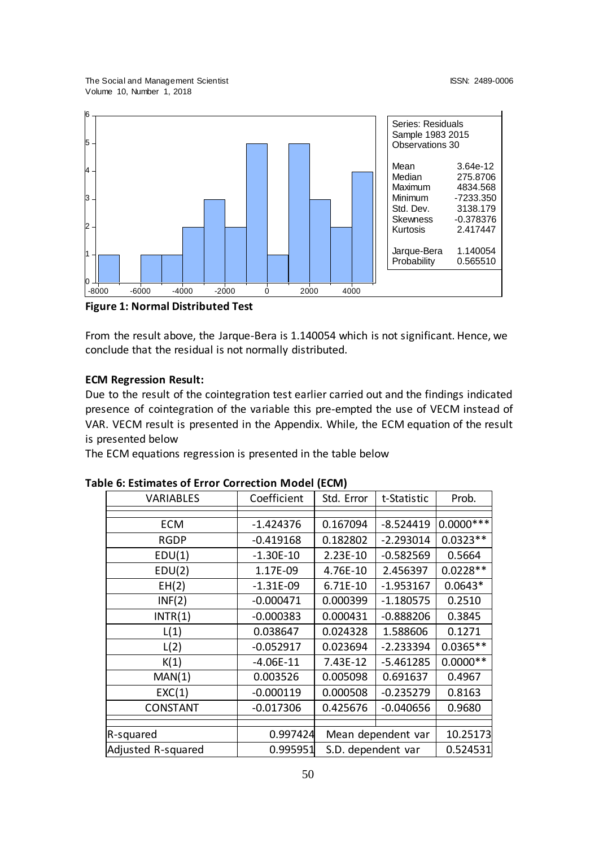The Social and Management Scientist ISSN: 2489-0006 Volume 10, Number 1, 2018



**Figure 1: Normal Distributed Test**

From the result above, the Jarque-Bera is 1.140054 which is not significant. Hence, we conclude that the residual is not normally distributed.

# **ECM Regression Result:**

Due to the result of the cointegration test earlier carried out and the findings indicated presence of cointegration of the variable this pre-empted the use of VECM instead of VAR. VECM result is presented in the Appendix. While, the ECM equation of the result is presented below

The ECM equations regression is presented in the table below

| <b>VARIABLES</b>   | Coefficient | Std. Error                     | t-Statistic | Prob.       |
|--------------------|-------------|--------------------------------|-------------|-------------|
|                    |             |                                |             |             |
| <b>ECM</b>         | $-1.424376$ | 0.167094                       | $-8.524419$ | $0.0000***$ |
| <b>RGDP</b>        | $-0.419168$ | 0.182802                       | $-2.293014$ | $0.0323**$  |
| EDU(1)             | $-1.30E-10$ | $2.23E-10$                     | $-0.582569$ | 0.5664      |
| EDU(2)             | 1.17E-09    | 4.76E-10                       | 2.456397    | $0.0228**$  |
| EH(2)              | $-1.31E-09$ | 6.71E-10                       | $-1.953167$ | $0.0643*$   |
| INF(2)             | $-0.000471$ | 0.000399                       | $-1.180575$ | 0.2510      |
| INTR(1)            | $-0.000383$ | 0.000431                       | $-0.888206$ | 0.3845      |
| L(1)               | 0.038647    | 0.024328                       | 1.588606    | 0.1271      |
| L(2)               | $-0.052917$ | 0.023694                       | $-2.233394$ | $0.0365**$  |
| K(1)               | $-4.06E-11$ | 7.43E-12                       | $-5.461285$ | $0.0000**$  |
| MAN(1)             | 0.003526    | 0.005098                       | 0.691637    | 0.4967      |
| EXC(1)             | $-0.000119$ | 0.000508                       | $-0.235279$ | 0.8163      |
| <b>CONSTANT</b>    | $-0.017306$ | 0.425676                       | $-0.040656$ | 0.9680      |
|                    |             |                                |             |             |
| R-squared          |             | 0.997424<br>Mean dependent var |             | 10.25173    |
| Adjusted R-squared | 0.995951    | S.D. dependent var             |             | 0.524531    |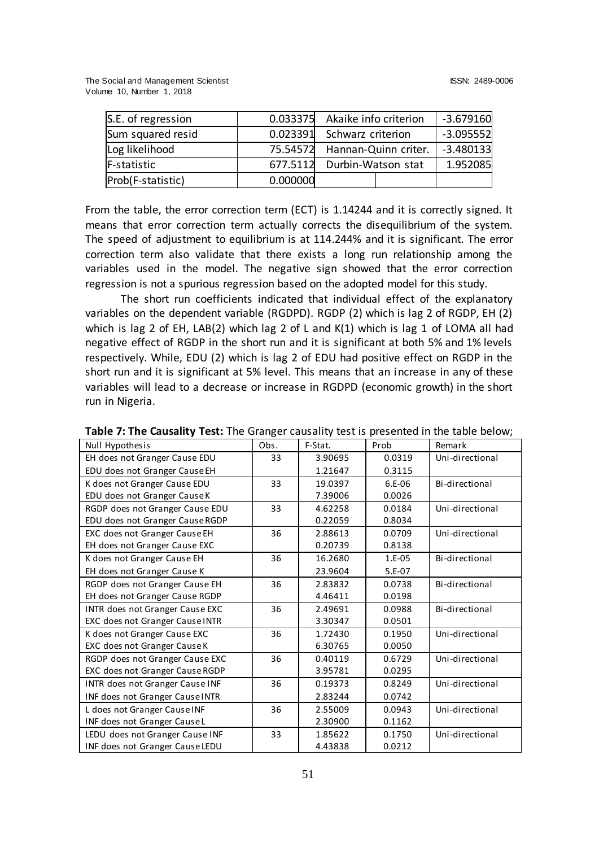| S.E. of regression |          | 0.033375 Akaike info criterion | $-3.679160$ |
|--------------------|----------|--------------------------------|-------------|
| Sum squared resid  |          | 0.023391 Schwarz criterion     | $-3.095552$ |
| Log likelihood     | 75.54572 | Hannan-Quinn criter.           | $-3.480133$ |
| F-statistic        |          | 677.5112 Durbin-Watson stat    | 1.952085    |
| Prob(F-statistic)  | 0.000000 |                                |             |

From the table, the error correction term (ECT) is 1.14244 and it is correctly signed. It means that error correction term actually corrects the disequilibrium of the system. The speed of adjustment to equilibrium is at 114.244% and it is significant. The error correction term also validate that there exists a long run relationship among the variables used in the model. The negative sign showed that the error correction regression is not a spurious regression based on the adopted model for this study.

The short run coefficients indicated that individual effect of the explanatory variables on the dependent variable (RGDPD). RGDP (2) which is lag 2 of RGDP, EH (2) which is lag 2 of EH, LAB(2) which lag 2 of L and K(1) which is lag 1 of LOMA all had negative effect of RGDP in the short run and it is significant at both 5% and 1% levels respectively. While, EDU (2) which is lag 2 of EDU had positive effect on RGDP in the short run and it is significant at 5% level. This means that an increase in any of these variables will lead to a decrease or increase in RGDPD (economic growth) in the short run in Nigeria.

| Null Hypothesis                 | Obs. | F-Stat. | Prob     | Remark          |
|---------------------------------|------|---------|----------|-----------------|
| EH does not Granger Cause EDU   | 33   | 3.90695 | 0.0319   | Uni-directional |
| EDU does not Granger Cause EH   |      | 1.21647 | 0.3115   |                 |
| K does not Granger Cause EDU    | 33   | 19.0397 | $6.E-06$ | Bi-directional  |
| EDU does not Granger Cause K    |      | 7.39006 | 0.0026   |                 |
| RGDP does not Granger Cause EDU | 33   | 4.62258 | 0.0184   | Uni-directional |
| EDU does not Granger Cause RGDP |      | 0.22059 | 0.8034   |                 |
| EXC does not Granger Cause EH   | 36   | 2.88613 | 0.0709   | Uni-directional |
| EH does not Granger Cause EXC   |      | 0.20739 | 0.8138   |                 |
| K does not Granger Cause EH     | 36   | 16.2680 | 1.E-05   | Bi-directional  |
| EH does not Granger Cause K     |      | 23.9604 | 5.E-07   |                 |
| RGDP does not Granger Cause EH  | 36   | 2.83832 | 0.0738   | Bi-directional  |
| EH does not Granger Cause RGDP  |      | 4.46411 | 0.0198   |                 |
| INTR does not Granger Cause EXC | 36   | 2.49691 | 0.0988   | Bi-directional  |
| EXC does not Granger Cause INTR |      | 3.30347 | 0.0501   |                 |
| K does not Granger Cause EXC    | 36   | 1.72430 | 0.1950   | Uni-directional |
| EXC does not Granger Cause K    |      | 6.30765 | 0.0050   |                 |
| RGDP does not Granger Cause EXC | 36   | 0.40119 | 0.6729   | Uni-directional |
| EXC does not Granger Cause RGDP |      | 3.95781 | 0.0295   |                 |
| INTR does not Granger Cause INF | 36   | 0.19373 | 0.8249   | Uni-directional |
| INF does not Granger Cause INTR |      | 2.83244 | 0.0742   |                 |
| L does not Granger Cause INF    | 36   | 2.55009 | 0.0943   | Uni-directional |
| INF does not Granger Cause L    |      | 2.30900 | 0.1162   |                 |
| LEDU does not Granger Cause INF | 33   | 1.85622 | 0.1750   | Uni-directional |
| INF does not Granger Cause LEDU |      | 4.43838 | 0.0212   |                 |

**Table 7: The Causality Test:** The Granger causality test is presented in the table below;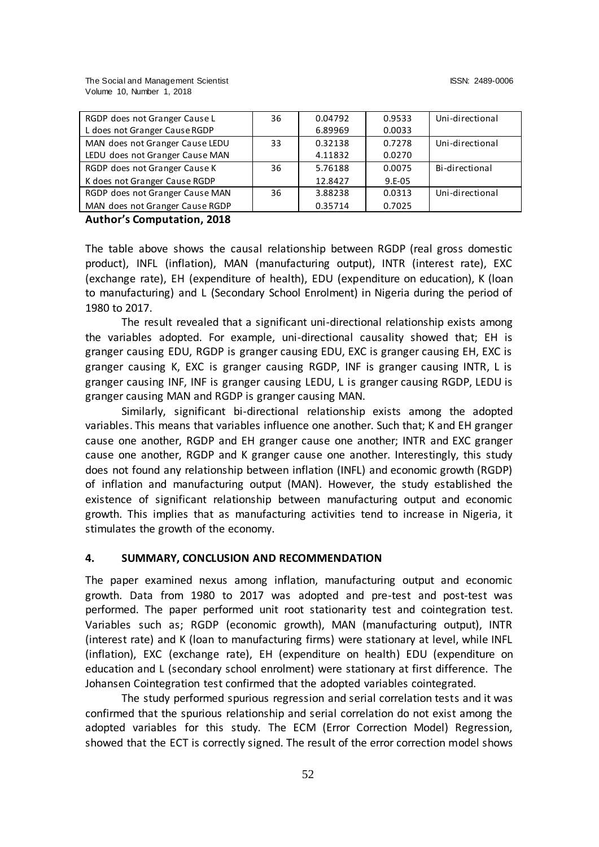| RGDP does not Granger Cause L   | 36 | 0.04792 | 0.9533   | Uni-directional |
|---------------------------------|----|---------|----------|-----------------|
| L does not Granger Cause RGDP   |    | 6.89969 | 0.0033   |                 |
| MAN does not Granger Cause LEDU | 33 | 0.32138 | 0.7278   | Uni-directional |
| LEDU does not Granger Cause MAN |    | 4.11832 | 0.0270   |                 |
| RGDP does not Granger Cause K   | 36 | 5.76188 | 0.0075   | Bi-directional  |
| K does not Granger Cause RGDP   |    | 12.8427 | $9.E-05$ |                 |
| RGDP does not Granger Cause MAN | 36 | 3.88238 | 0.0313   | Uni-directional |
| MAN does not Granger Cause RGDP |    | 0.35714 | 0.7025   |                 |

### **Author's Computation, 2018**

The table above shows the causal relationship between RGDP (real gross domestic product), INFL (inflation), MAN (manufacturing output), INTR (interest rate), EXC (exchange rate), EH (expenditure of health), EDU (expenditure on education), K (loan to manufacturing) and L (Secondary School Enrolment) in Nigeria during the period of 1980 to 2017.

The result revealed that a significant uni-directional relationship exists among the variables adopted. For example, uni-directional causality showed that; EH is granger causing EDU, RGDP is granger causing EDU, EXC is granger causing EH, EXC is granger causing K, EXC is granger causing RGDP, INF is granger causing INTR, L is granger causing INF, INF is granger causing LEDU, L is granger causing RGDP, LEDU is granger causing MAN and RGDP is granger causing MAN.

Similarly, significant bi-directional relationship exists among the adopted variables. This means that variables influence one another. Such that; K and EH granger cause one another, RGDP and EH granger cause one another; INTR and EXC granger cause one another, RGDP and K granger cause one another. Interestingly, this study does not found any relationship between inflation (INFL) and economic growth (RGDP) of inflation and manufacturing output (MAN). However, the study established the existence of significant relationship between manufacturing output and economic growth. This implies that as manufacturing activities tend to increase in Nigeria, it stimulates the growth of the economy.

### **4. SUMMARY, CONCLUSION AND RECOMMENDATION**

The paper examined nexus among inflation, manufacturing output and economic growth. Data from 1980 to 2017 was adopted and pre-test and post-test was performed. The paper performed unit root stationarity test and cointegration test. Variables such as; RGDP (economic growth), MAN (manufacturing output), INTR (interest rate) and K (loan to manufacturing firms) were stationary at level, while INFL (inflation), EXC (exchange rate), EH (expenditure on health) EDU (expenditure on education and L (secondary school enrolment) were stationary at first difference. The Johansen Cointegration test confirmed that the adopted variables cointegrated.

The study performed spurious regression and serial correlation tests and it was confirmed that the spurious relationship and serial correlation do not exist among the adopted variables for this study. The ECM (Error Correction Model) Regression, showed that the ECT is correctly signed. The result of the error correction model shows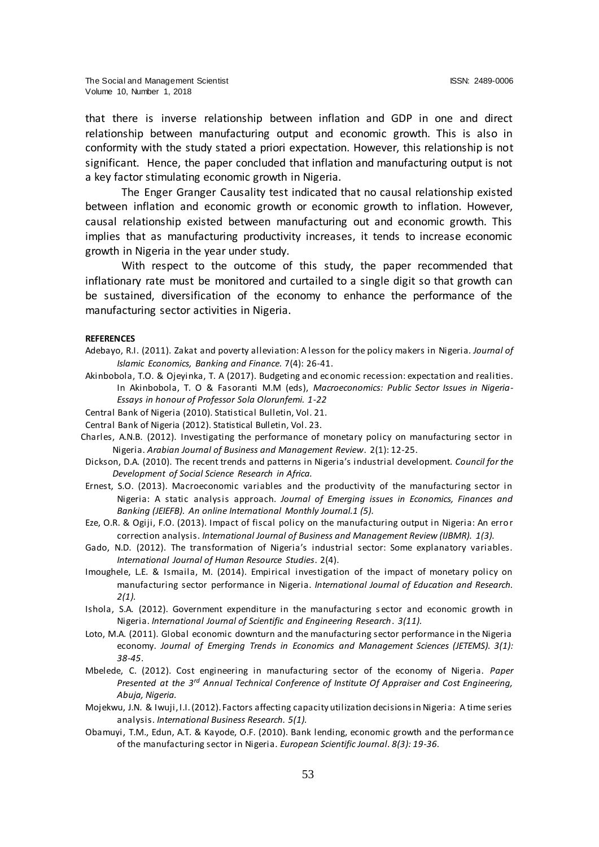that there is inverse relationship between inflation and GDP in one and direct relationship between manufacturing output and economic growth. This is also in conformity with the study stated a priori expectation. However, this relationship is not significant. Hence, the paper concluded that inflation and manufacturing output is not a key factor stimulating economic growth in Nigeria.

The Enger Granger Causality test indicated that no causal relationship existed between inflation and economic growth or economic growth to inflation. However, causal relationship existed between manufacturing out and economic growth. This implies that as manufacturing productivity increases, it tends to increase economic growth in Nigeria in the year under study.

With respect to the outcome of this study, the paper recommended that inflationary rate must be monitored and curtailed to a single digit so that growth can be sustained, diversification of the economy to enhance the performance of the manufacturing sector activities in Nigeria.

#### **REFERENCES**

- Adebayo, R.I. (2011). Zakat and poverty alleviation: A lesson for the policy makers in Nigeria*. Journal of Islamic Economics, Banking and Finance.* 7(4): 26-41.
- Akinbobola, T.O. & Ojeyinka, T. A (2017). Budgeting and economic recession: expectation and realities. In Akinbobola, T. O & Fasoranti M.M (eds), *Macroeconomics: Public Sector Issues in Nigeria-Essays in honour of Professor Sola Olorunfemi. 1-22*
- Central Bank of Nigeria (2010). Statistical Bulletin, Vol. 21.
- Central Bank of Nigeria (2012). Statistical Bulletin, Vol. 23.
- Charles, A.N.B. (2012). Investigating the performance of monetary policy on manufacturing sector in Nigeria. *Arabian Journal of Business and Management Review*. 2(1): 12-25.
- Dickson, D.A. (2010). The recent trends and patterns in Nigeria's industrial development. *Council for the Development of Social Science Research in Africa.*
- Ernest, S.O. (2013). Macroeconomic variables and the productivity of the manufacturing sector in Nigeria: A static analysis approach. *Journal of Emerging issues in Economics, Finances and Banking (JEIEFB). An online International Monthly Journal.1 (5).*
- Eze, O.R. & Ogiji, F.O. (2013). Impact of fiscal policy on the manufacturing output in Nigeria: An erro r correction analysis. *International Journal of Business and Management Review (IJBMR). 1(3).*
- Gado, N.D. (2012). The transformation of Nigeria's industrial sector: Some explanatory variables. *International Journal of Human Resource Studies*. 2(4).
- Imoughele, L.E. & Ismaila, M. (2014). Empirical investigation of the impact of monetary policy on manufacturing sector performance in Nigeria. *International Journal of Education and Research. 2(1).*
- Ishola, S.A. (2012). Government expenditure in the manufacturing s ector and economic growth in Nigeria. *International Journal of Scientific and Engineering Research*. *3(11).*
- Loto, M.A. (2011). Global economic downturn and the manufacturing sector performance in the Nigeria economy. *Journal of Emerging Trends in Economics and Management Sciences (JETEMS). 3(1): 38-45*.
- Mbelede, C. (2012). Cost engineering in manufacturing sector of the economy of Nigeria. *Paper Presented at the 3rd Annual Technical Conference of Institute Of Appraiser and Cost Engineering, Abuja, Nigeria.*
- Mojekwu, J.N. & Iwuji, I.I. (2012). Factors affecting capacity utilization decisions in Nigeria: A time series analysis. *International Business Research. 5(1).*
- Obamuyi, T.M., Edun, A.T. & Kayode, O.F. (2010). Bank lending, economic growth and the performance of the manufacturing sector in Nigeria. *European Scientific Journal*. *8(3): 19-36.*